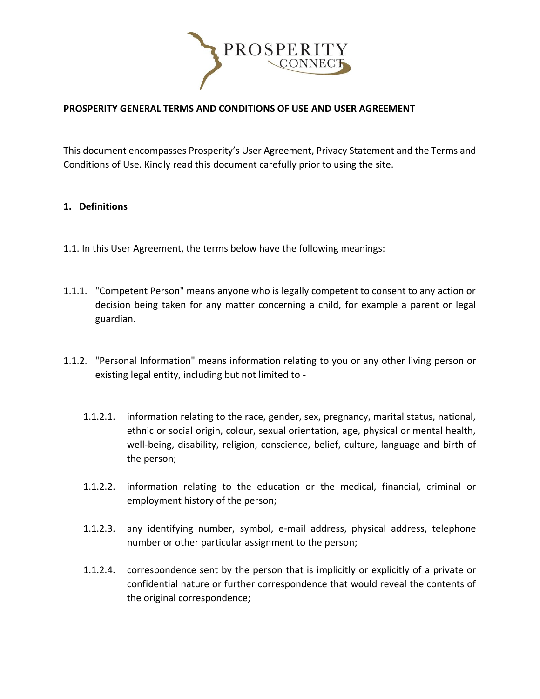

# **PROSPERITY GENERAL TERMS AND CONDITIONS OF USE AND USER AGREEMENT**

This document encompasses Prosperity's User Agreement, Privacy Statement and the Terms and Conditions of Use. Kindly read this document carefully prior to using the site.

#### **1. Definitions**

- 1.1. In this User Agreement, the terms below have the following meanings:
- 1.1.1. "Competent Person" means anyone who is legally competent to consent to any action or decision being taken for any matter concerning a child, for example a parent or legal guardian.
- 1.1.2. "Personal Information" means information relating to you or any other living person or existing legal entity, including but not limited to -
	- 1.1.2.1. information relating to the race, gender, sex, pregnancy, marital status, national, ethnic or social origin, colour, sexual orientation, age, physical or mental health, well-being, disability, religion, conscience, belief, culture, language and birth of the person;
	- 1.1.2.2. information relating to the education or the medical, financial, criminal or employment history of the person;
	- 1.1.2.3. any identifying number, symbol, e-mail address, physical address, telephone number or other particular assignment to the person;
	- 1.1.2.4. correspondence sent by the person that is implicitly or explicitly of a private or confidential nature or further correspondence that would reveal the contents of the original correspondence;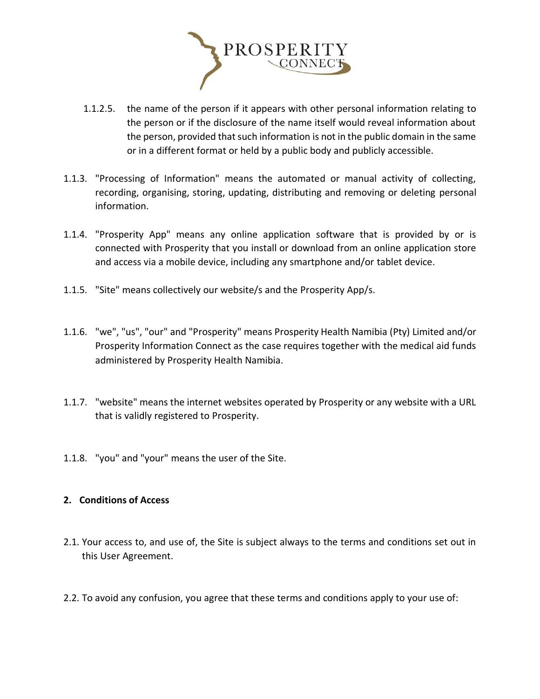

- 1.1.2.5. the name of the person if it appears with other personal information relating to the person or if the disclosure of the name itself would reveal information about the person, provided that such information is not in the public domain in the same or in a different format or held by a public body and publicly accessible.
- 1.1.3. "Processing of Information" means the automated or manual activity of collecting, recording, organising, storing, updating, distributing and removing or deleting personal information.
- 1.1.4. "Prosperity App" means any online application software that is provided by or is connected with Prosperity that you install or download from an online application store and access via a mobile device, including any smartphone and/or tablet device.
- 1.1.5. "Site" means collectively our website/s and the Prosperity App/s.
- 1.1.6. "we", "us", "our" and "Prosperity" means Prosperity Health Namibia (Pty) Limited and/or Prosperity Information Connect as the case requires together with the medical aid funds administered by Prosperity Health Namibia.
- 1.1.7. "website" means the internet websites operated by Prosperity or any website with a URL that is validly registered to Prosperity.
- 1.1.8. "you" and "your" means the user of the Site.

# **2. Conditions of Access**

- 2.1. Your access to, and use of, the Site is subject always to the terms and conditions set out in this User Agreement.
- 2.2. To avoid any confusion, you agree that these terms and conditions apply to your use of: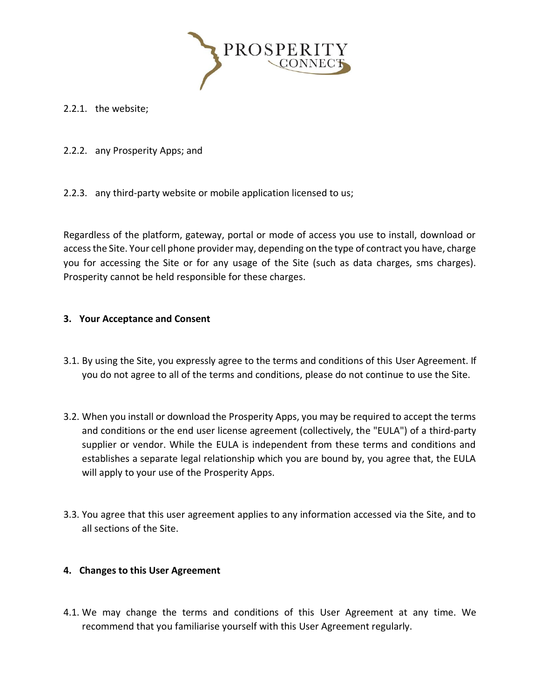

2.2.1. the website;

2.2.2. any Prosperity Apps; and

2.2.3. any third-party website or mobile application licensed to us;

Regardless of the platform, gateway, portal or mode of access you use to install, download or access the Site. Your cell phone provider may, depending on the type of contract you have, charge you for accessing the Site or for any usage of the Site (such as data charges, sms charges). Prosperity cannot be held responsible for these charges.

# **3. Your Acceptance and Consent**

- 3.1. By using the Site, you expressly agree to the terms and conditions of this User Agreement. If you do not agree to all of the terms and conditions, please do not continue to use the Site.
- 3.2. When you install or download the Prosperity Apps, you may be required to accept the terms and conditions or the end user license agreement (collectively, the "EULA") of a third-party supplier or vendor. While the EULA is independent from these terms and conditions and establishes a separate legal relationship which you are bound by, you agree that, the EULA will apply to your use of the Prosperity Apps.
- 3.3. You agree that this user agreement applies to any information accessed via the Site, and to all sections of the Site.

#### **4. Changes to this User Agreement**

4.1. We may change the terms and conditions of this User Agreement at any time. We recommend that you familiarise yourself with this User Agreement regularly.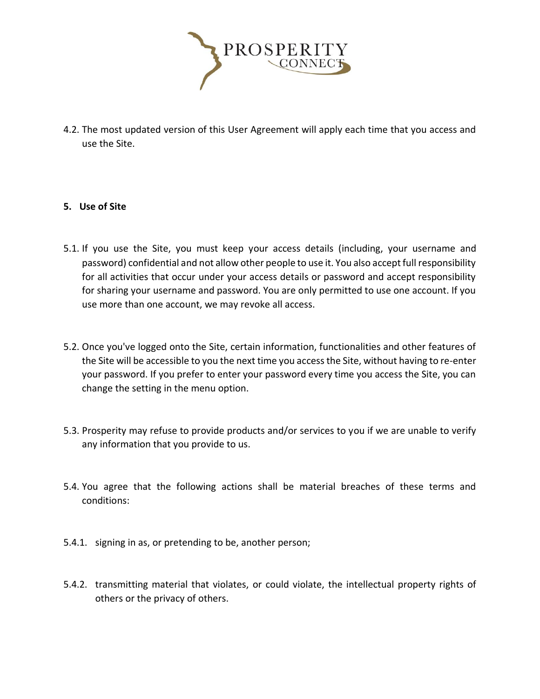

4.2. The most updated version of this User Agreement will apply each time that you access and use the Site.

# **5. Use of Site**

- 5.1. If you use the Site, you must keep your access details (including, your username and password) confidential and not allow other people to use it. You also accept full responsibility for all activities that occur under your access details or password and accept responsibility for sharing your username and password. You are only permitted to use one account. If you use more than one account, we may revoke all access.
- 5.2. Once you've logged onto the Site, certain information, functionalities and other features of the Site will be accessible to you the next time you access the Site, without having to re-enter your password. If you prefer to enter your password every time you access the Site, you can change the setting in the menu option.
- 5.3. Prosperity may refuse to provide products and/or services to you if we are unable to verify any information that you provide to us.
- 5.4. You agree that the following actions shall be material breaches of these terms and conditions:
- 5.4.1. signing in as, or pretending to be, another person;
- 5.4.2. transmitting material that violates, or could violate, the intellectual property rights of others or the privacy of others.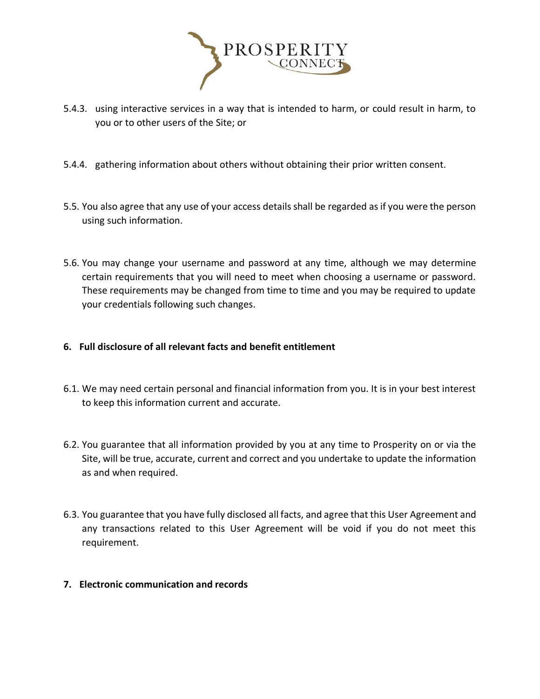

- 5.4.3. using interactive services in a way that is intended to harm, or could result in harm, to you or to other users of the Site; or
- 5.4.4. gathering information about others without obtaining their prior written consent.
- 5.5. You also agree that any use of your access details shall be regarded as if you were the person using such information.
- 5.6. You may change your username and password at any time, although we may determine certain requirements that you will need to meet when choosing a username or password. These requirements may be changed from time to time and you may be required to update your credentials following such changes.
- **6. Full disclosure of all relevant facts and benefit entitlement**
- 6.1. We may need certain personal and financial information from you. It is in your best interest to keep this information current and accurate.
- 6.2. You guarantee that all information provided by you at any time to Prosperity on or via the Site, will be true, accurate, current and correct and you undertake to update the information as and when required.
- 6.3. You guarantee that you have fully disclosed all facts, and agree that this User Agreement and any transactions related to this User Agreement will be void if you do not meet this requirement.
- **7. Electronic communication and records**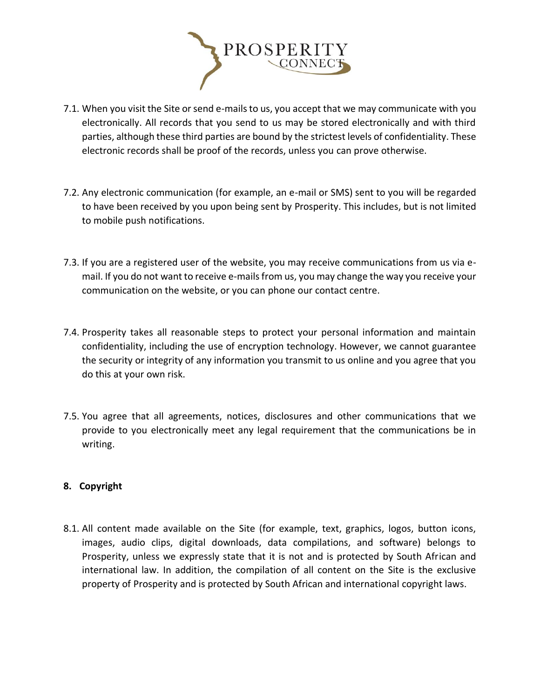

- 7.1. When you visit the Site or send e-mails to us, you accept that we may communicate with you electronically. All records that you send to us may be stored electronically and with third parties, although these third parties are bound by the strictest levels of confidentiality. These electronic records shall be proof of the records, unless you can prove otherwise.
- 7.2. Any electronic communication (for example, an e-mail or SMS) sent to you will be regarded to have been received by you upon being sent by Prosperity. This includes, but is not limited to mobile push notifications.
- 7.3. If you are a registered user of the website, you may receive communications from us via email. If you do not want to receive e-mails from us, you may change the way you receive your communication on the website, or you can phone our contact centre.
- 7.4. Prosperity takes all reasonable steps to protect your personal information and maintain confidentiality, including the use of encryption technology. However, we cannot guarantee the security or integrity of any information you transmit to us online and you agree that you do this at your own risk.
- 7.5. You agree that all agreements, notices, disclosures and other communications that we provide to you electronically meet any legal requirement that the communications be in writing.

# **8. Copyright**

8.1. All content made available on the Site (for example, text, graphics, logos, button icons, images, audio clips, digital downloads, data compilations, and software) belongs to Prosperity, unless we expressly state that it is not and is protected by South African and international law. In addition, the compilation of all content on the Site is the exclusive property of Prosperity and is protected by South African and international copyright laws.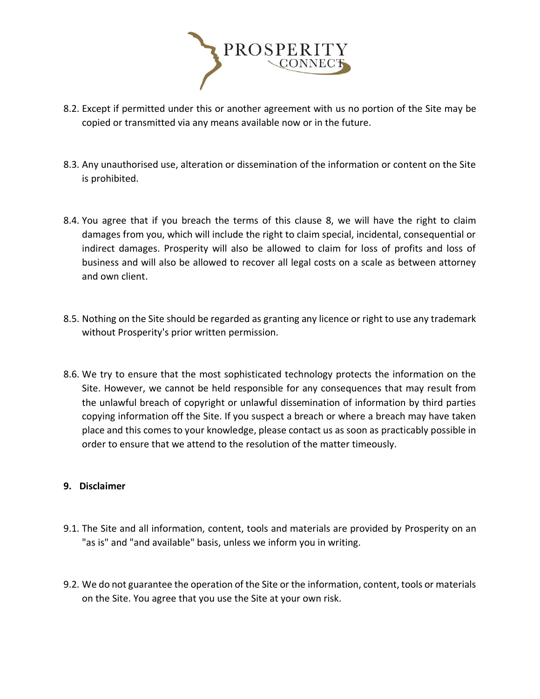

- 8.2. Except if permitted under this or another agreement with us no portion of the Site may be copied or transmitted via any means available now or in the future.
- 8.3. Any unauthorised use, alteration or dissemination of the information or content on the Site is prohibited.
- 8.4. You agree that if you breach the terms of this clause 8, we will have the right to claim damages from you, which will include the right to claim special, incidental, consequential or indirect damages. Prosperity will also be allowed to claim for loss of profits and loss of business and will also be allowed to recover all legal costs on a scale as between attorney and own client.
- 8.5. Nothing on the Site should be regarded as granting any licence or right to use any trademark without Prosperity's prior written permission.
- 8.6. We try to ensure that the most sophisticated technology protects the information on the Site. However, we cannot be held responsible for any consequences that may result from the unlawful breach of copyright or unlawful dissemination of information by third parties copying information off the Site. If you suspect a breach or where a breach may have taken place and this comes to your knowledge, please contact us as soon as practicably possible in order to ensure that we attend to the resolution of the matter timeously.

# **9. Disclaimer**

- 9.1. The Site and all information, content, tools and materials are provided by Prosperity on an "as is" and "and available" basis, unless we inform you in writing.
- 9.2. We do not guarantee the operation of the Site or the information, content, tools or materials on the Site. You agree that you use the Site at your own risk.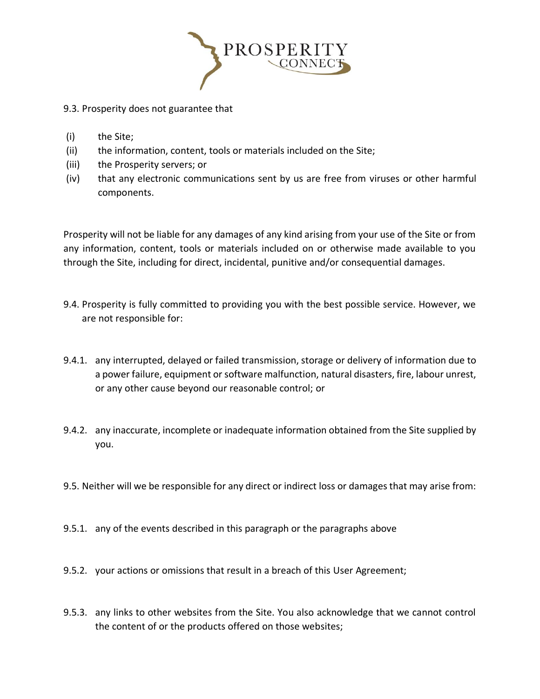

### 9.3. Prosperity does not guarantee that

- (i) the Site;
- (ii) the information, content, tools or materials included on the Site;
- (iii) the Prosperity servers; or
- (iv) that any electronic communications sent by us are free from viruses or other harmful components.

Prosperity will not be liable for any damages of any kind arising from your use of the Site or from any information, content, tools or materials included on or otherwise made available to you through the Site, including for direct, incidental, punitive and/or consequential damages.

- 9.4. Prosperity is fully committed to providing you with the best possible service. However, we are not responsible for:
- 9.4.1. any interrupted, delayed or failed transmission, storage or delivery of information due to a power failure, equipment or software malfunction, natural disasters, fire, labour unrest, or any other cause beyond our reasonable control; or
- 9.4.2. any inaccurate, incomplete or inadequate information obtained from the Site supplied by you.
- 9.5. Neither will we be responsible for any direct or indirect loss or damages that may arise from:
- 9.5.1. any of the events described in this paragraph or the paragraphs above
- 9.5.2. your actions or omissions that result in a breach of this User Agreement;
- 9.5.3. any links to other websites from the Site. You also acknowledge that we cannot control the content of or the products offered on those websites;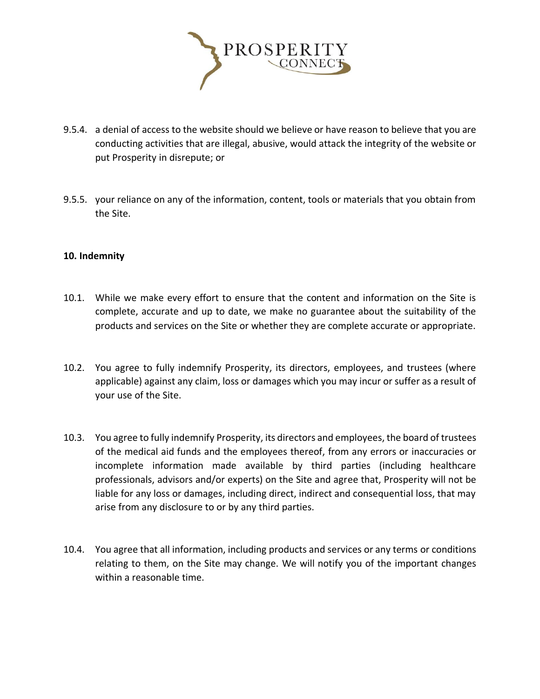

- 9.5.4. a denial of access to the website should we believe or have reason to believe that you are conducting activities that are illegal, abusive, would attack the integrity of the website or put Prosperity in disrepute; or
- 9.5.5. your reliance on any of the information, content, tools or materials that you obtain from the Site.

#### **10. Indemnity**

- 10.1. While we make every effort to ensure that the content and information on the Site is complete, accurate and up to date, we make no guarantee about the suitability of the products and services on the Site or whether they are complete accurate or appropriate.
- 10.2. You agree to fully indemnify Prosperity, its directors, employees, and trustees (where applicable) against any claim, loss or damages which you may incur or suffer as a result of your use of the Site.
- 10.3. You agree to fully indemnify Prosperity, its directors and employees, the board of trustees of the medical aid funds and the employees thereof, from any errors or inaccuracies or incomplete information made available by third parties (including healthcare professionals, advisors and/or experts) on the Site and agree that, Prosperity will not be liable for any loss or damages, including direct, indirect and consequential loss, that may arise from any disclosure to or by any third parties.
- 10.4. You agree that all information, including products and services or any terms or conditions relating to them, on the Site may change. We will notify you of the important changes within a reasonable time.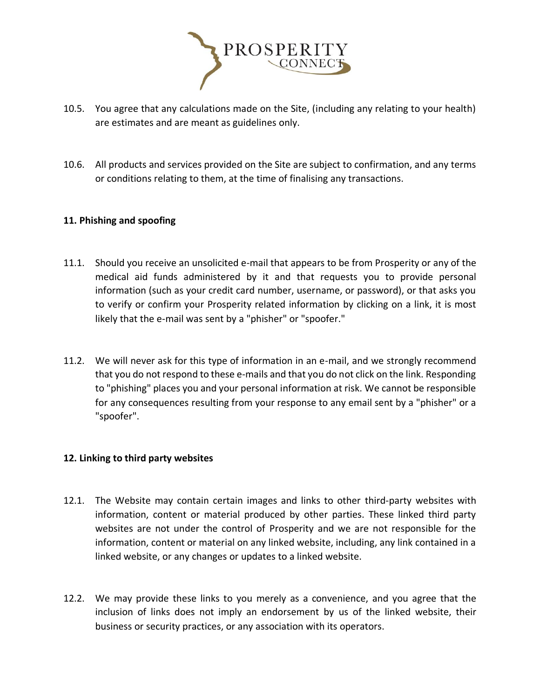

- 10.5. You agree that any calculations made on the Site, (including any relating to your health) are estimates and are meant as guidelines only.
- 10.6. All products and services provided on the Site are subject to confirmation, and any terms or conditions relating to them, at the time of finalising any transactions.

# **11. Phishing and spoofing**

- 11.1. Should you receive an unsolicited e-mail that appears to be from Prosperity or any of the medical aid funds administered by it and that requests you to provide personal information (such as your credit card number, username, or password), or that asks you to verify or confirm your Prosperity related information by clicking on a link, it is most likely that the e-mail was sent by a "phisher" or "spoofer."
- 11.2. We will never ask for this type of information in an e-mail, and we strongly recommend that you do not respond to these e-mails and that you do not click on the link. Responding to "phishing" places you and your personal information at risk. We cannot be responsible for any consequences resulting from your response to any email sent by a "phisher" or a "spoofer".

#### **12. Linking to third party websites**

- 12.1. The Website may contain certain images and links to other third-party websites with information, content or material produced by other parties. These linked third party websites are not under the control of Prosperity and we are not responsible for the information, content or material on any linked website, including, any link contained in a linked website, or any changes or updates to a linked website.
- 12.2. We may provide these links to you merely as a convenience, and you agree that the inclusion of links does not imply an endorsement by us of the linked website, their business or security practices, or any association with its operators.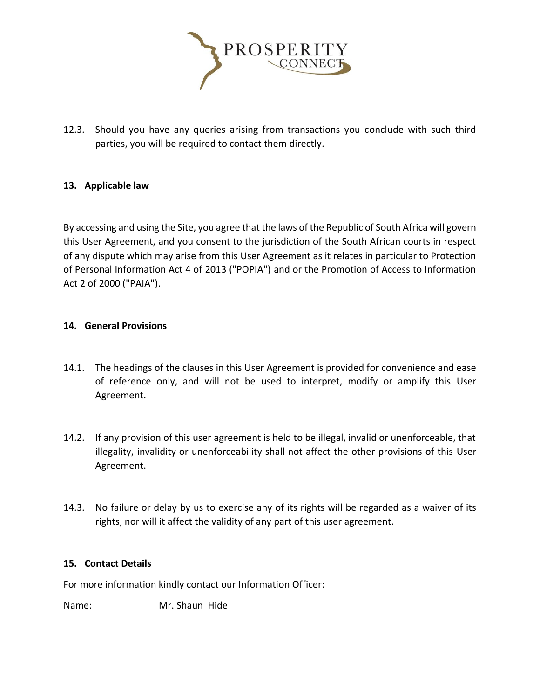

12.3. Should you have any queries arising from transactions you conclude with such third parties, you will be required to contact them directly.

# **13. Applicable law**

By accessing and using the Site, you agree that the laws of the Republic of South Africa will govern this User Agreement, and you consent to the jurisdiction of the South African courts in respect of any dispute which may arise from this User Agreement as it relates in particular to Protection of Personal Information Act 4 of 2013 ("POPIA") and or the Promotion of Access to Information Act 2 of 2000 ("PAIA").

# **14. General Provisions**

- 14.1. The headings of the clauses in this User Agreement is provided for convenience and ease of reference only, and will not be used to interpret, modify or amplify this User Agreement.
- 14.2. If any provision of this user agreement is held to be illegal, invalid or unenforceable, that illegality, invalidity or unenforceability shall not affect the other provisions of this User Agreement.
- 14.3. No failure or delay by us to exercise any of its rights will be regarded as a waiver of its rights, nor will it affect the validity of any part of this user agreement.

#### **15. Contact Details**

For more information kindly contact our Information Officer:

Name: Mr. Shaun Hide